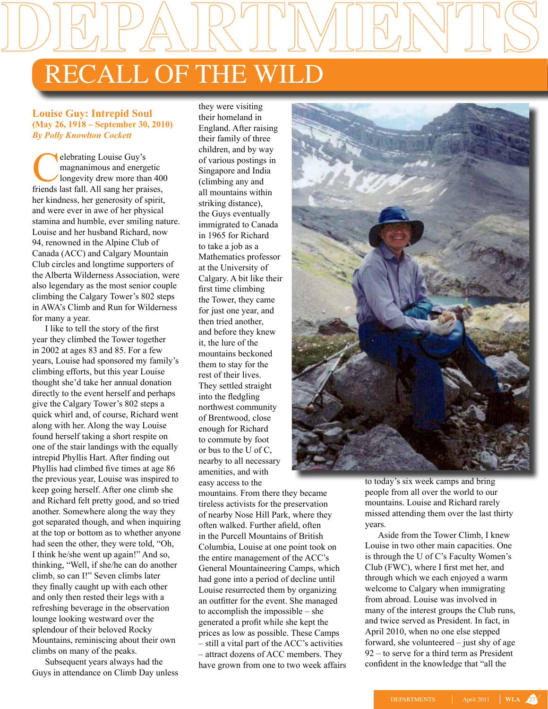## Recall of the Wild

## **Louise Guy: Intrepid Soul (May 26, 1918 – September 30, 2010)** *By Polly Knowlton Cockett*

elebrating Louise Guy's<br>magnanimous and energy<br>longevity drew more that<br>friends last fall. All sang her pra magnanimous and energetic longevity drew more than 400 friends last fall. All sang her praises, her kindness, her generosity of spirit, and were ever in awe of her physical stamina and humble, ever smiling nature. Louise and her husband Richard, now 94, renowned in the Alpine Club of Canada (ACC) and Calgary Mountain Club circles and longtime supporters of the Alberta Wilderness Association, were also legendary as the most senior couple climbing the Calgary Tower's 802 steps in AWA's Climb and Run for Wilderness for many a year.

I like to tell the story of the first year they climbed the Tower together in 2002 at ages 83 and 85. For a few years, Louise had sponsored my family's climbing efforts, but this year Louise thought she'd take her annual donation directly to the event herself and perhaps give the Calgary Tower's 802 steps a quick whirl and, of course, Richard went along with her. Along the way Louise found herself taking a short respite on one of the stair landings with the equally intrepid Phyllis Hart. After finding out Phyllis had climbed five times at age 86 the previous year, Louise was inspired to keep going herself. After one climb she and Richard felt pretty good, and so tried another. Somewhere along the way they got separated though, and when inquiring at the top or bottom as to whether anyone had seen the other, they were told, "Oh, I think he/she went up again!" And so, thinking, "Well, if she/he can do another climb, so can I!" Seven climbs later they finally caught up with each other and only then rested their legs with a refreshing beverage in the observation lounge looking westward over the splendour of their beloved Rocky Mountains, reminiscing about their own climbs on many of the peaks.

Subsequent years always had the Guys in attendance on Climb Day unless

they were visiting their homeland in England. After raising their family of three children, and by way of various postings in Singapore and India (climbing any and all mountains within striking distance), the Guys eventually immigrated to Canada in 1965 for Richard to take a job as a Mathematics professor at the University of Calgary. A bit like their first time climbing the Tower, they came for just one year, and then tried another, and before they knew it, the lure of the mountains beckoned them to stay for the rest of their lives. They settled straight into the fledgling northwest community of Brentwood, close enough for Richard to commute by foot or bus to the U of C, nearby to all necessary amenities, and with easy access to the

mountains. From there they became tireless activists for the preservation of nearby Nose Hill Park, where they often walked. Further afield, often in the Purcell Mountains of British Columbia, Louise at one point took on the entire management of the ACC's General Mountaineering Camps, which had gone into a period of decline until Louise resurrected them by organizing an outfitter for the event. She managed to accomplish the impossible – she generated a profit while she kept the prices as low as possible. These Camps – still a vital part of the ACC's activities – attract dozens of ACC members. They have grown from one to two week affairs



to today's six week camps and bring people from all over the world to our mountains. Louise and Richard rarely missed attending them over the last thirty years.

Aside from the Tower Climb, I knew Louise in two other main capacities. One is through the U of C's Faculty Women's Club (FWC), where I first met her, and through which we each enjoyed a warm welcome to Calgary when immigrating from abroad. Louise was involved in many of the interest groups the Club runs, and twice served as President. In fact, in April 2010, when no one else stepped forward, she volunteered – just shy of age 92 – to serve for a third term as President confident in the knowledge that "all the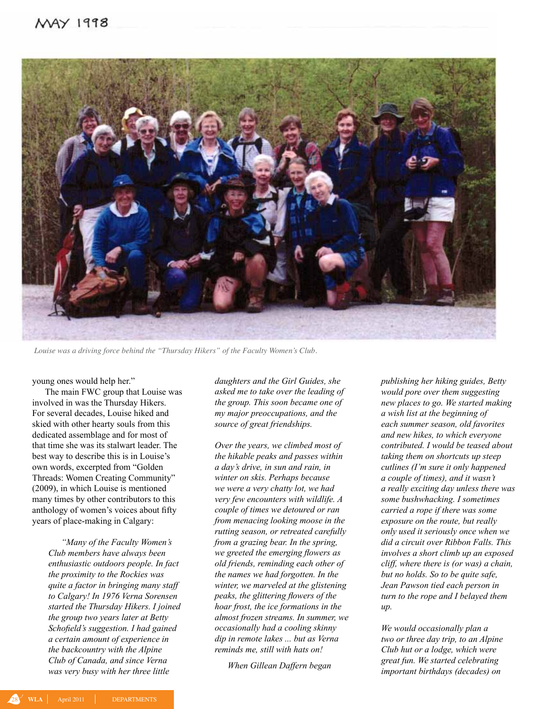

*Louise was a driving force behind the "Thursday Hikers" of the Faculty Women's Club.* 

young ones would help her."

The main FWC group that Louise was involved in was the Thursday Hikers. For several decades, Louise hiked and skied with other hearty souls from this dedicated assemblage and for most of that time she was its stalwart leader. The best way to describe this is in Louise's own words, excerpted from "Golden Threads: Women Creating Community" (2009), in which Louise is mentioned many times by other contributors to this anthology of women's voices about fifty years of place-making in Calgary:

> *"Many of the Faculty Women's Club members have always been enthusiastic outdoors people. In fact the proximity to the Rockies was quite a factor in bringing many staff to Calgary! In 1976 Verna Sorensen started the Thursday Hikers. I joined the group two years later at Betty Schofield's suggestion. I had gained a certain amount of experience in the backcountry with the Alpine Club of Canada, and since Verna was very busy with her three little*

*daughters and the Girl Guides, she asked me to take over the leading of the group. This soon became one of my major preoccupations, and the source of great friendships.*

*Over the years, we climbed most of the hikable peaks and passes within a day's drive, in sun and rain, in winter on skis. Perhaps because we were a very chatty lot, we had very few encounters with wildlife. A couple of times we detoured or ran from menacing looking moose in the rutting season, or retreated carefully from a grazing bear. In the spring, we greeted the emerging flowers as old friends, reminding each other of the names we had forgotten. In the winter, we marveled at the glistening peaks, the glittering flowers of the hoar frost, the ice formations in the almost frozen streams. In summer, we occasionally had a cooling skinny dip in remote lakes ... but as Verna reminds me, still with hats on!* 

*When Gillean Daffern began* 

*publishing her hiking guides, Betty would pore over them suggesting new places to go. We started making a wish list at the beginning of each summer season, old favorites and new hikes, to which everyone contributed. I would be teased about taking them on shortcuts up steep cutlines (I'm sure it only happened a couple of times), and it wasn't a really exciting day unless there was some bushwhacking. I sometimes carried a rope if there was some exposure on the route, but really only used it seriously once when we did a circuit over Ribbon Falls. This involves a short climb up an exposed cliff, where there is (or was) a chain, but no holds. So to be quite safe, Jean Pawson tied each person in turn to the rope and I belayed them up.*

*We would occasionally plan a two or three day trip, to an Alpine Club hut or a lodge, which were great fun. We started celebrating important birthdays (decades) on*